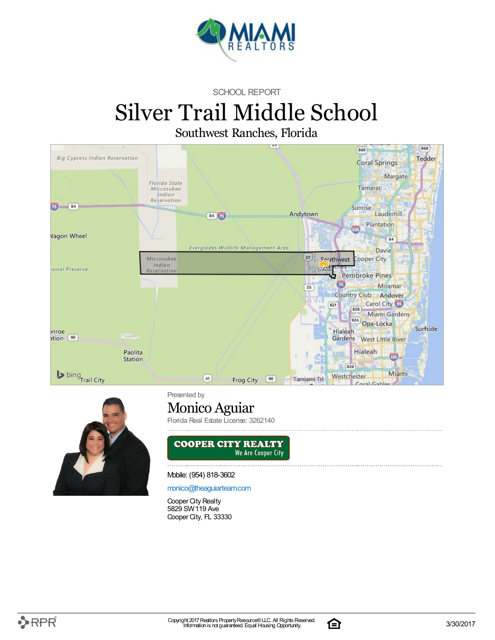

SCHOOL REPORT

# Silver Trail Middle School

Southwest Ranches, Florida





Presented by

### Monico Aguiar

Florida Real Estate License: 3262140



Mobile: (954) 818-3602

[monico@theaguiarteam.com](mailto:monico@theaguiarteam.com)

Cooper City Realty 5829 SW119 Ave Cooper City, FL 33330

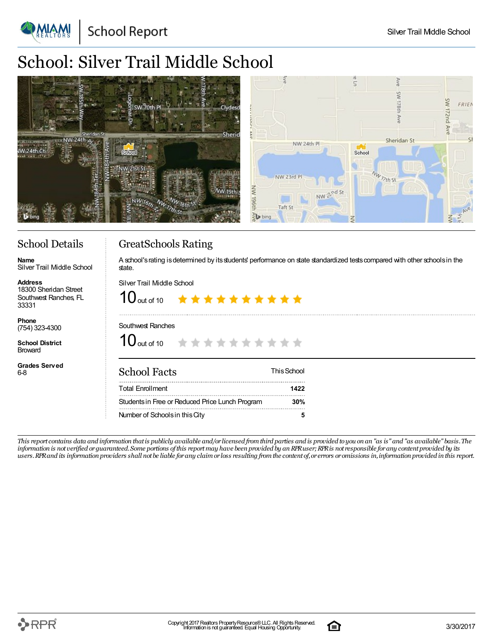**School Report** 

### School: Silver Trail Middle School

| SW 70th Pl<br>Clydesd<br>o<br><b>Sherid</b> | ź<br>FRIEN                                                         |
|---------------------------------------------|--------------------------------------------------------------------|
| NW 24th &<br>School                         | Sheridan St<br>NW 24th Pl<br>School                                |
|                                             | NW <sub>77th</sub> St<br>NW 23rd Pl<br>NW<br>NW 2 <sup>nd St</sup> |
|                                             | U <sub>196</sub><br>Taft St<br>bing<br>$\leq$<br>₹                 |

### School Details

Silver Trail Middle School

18300 Sheridan Street Southwest Ranches, FL

**Grades Served**

**Name**

**Address**

33331 **Phone** (754) 323-4300 **School District** Broward

6-8

### GreatSchools Rating

A school's rating is determined by its students' performance on state standardized tests compared with other schools in the state.

Silver Trail Middle School

 $10$  out of 10 \*\*\*\*\*\*\*\*\*\*

#### Southwest Ranches

 $10$  out of 10 \*\*\*\*\*\*\*\*\*\*

| <b>School Facts</b>                             | This School |
|-------------------------------------------------|-------------|
| <b>Total Enrollment</b>                         | 1422        |
| Students in Free or Reduced Price Lunch Program | 30%         |
| Number of Schools in this City                  |             |

This report contains data and information that is publicly available and/or licensed from third parties and is provided to you on an "as is" and "as available" basis. The information is not verified or guaranteed. Some portions of this report may have been provided by an RPR user; RPR is not responsible for any content provided by its users. RPR and its information providers shall not be liable for any claim or loss resulting from the content of, or errors or omissions in, information provided in this report.

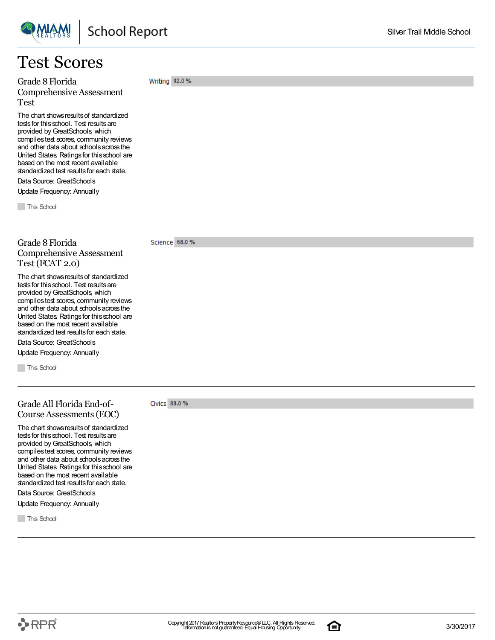### Test Scores

Grade 8Florida Comprehensive Assessment Test

The chart showsresultsof standardized tests for this school. Test results are provided by GreatSchools, which compilestest scores, community reviews and other data about schoolsacrossthe United States. Ratingsfor thisschool are based on the most recent available standardized test results for each state.

Data Source: GreatSchools Update Frequency: Annually

**This School** 

### Grade 8Florida Comprehensive Assessment Test (FCAT 2.0)

The chart shows results of standardized tests for this school. Test results are provided by GreatSchools, which compilestest scores, community reviews and other data about schoolsacrossthe United States. Ratingsfor thisschool are based on the most recent available standardized test results for each state.

Data Source: GreatSchools

Update Frequency: Annually

**This School** 

### Grade All Florida End-of-Course Assessments(EOC)

The chart shows results of standardized tests for this school. Test results are provided byGreatSchools, which compiles test scores, community reviews and other data about schoolsacrossthe United States. Ratingsfor thisschool are based on the most recent available standardized test results for each state. Data Source: GreatSchools

Update Frequency: Annually

**This School** 

#### Science 68.0 %

Civics 88.0 %

Writing 92.0 %

Silver Trail Middle School

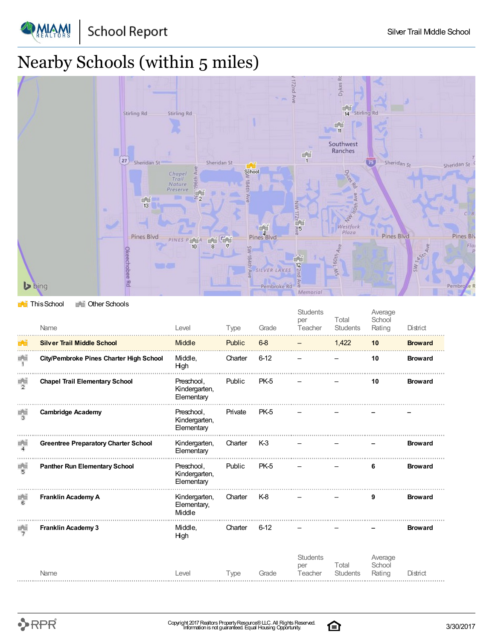**School Report** 

PMAM

## Nearby Schools (within 5 miles)



#### **This School** The Other Schools

|                    | Name                                        | Level                                     | Type    | Grade          | <b>Students</b><br>per<br>Teacher | Total<br><b>Students</b> | Average<br>School<br>Rating | District       |
|--------------------|---------------------------------------------|-------------------------------------------|---------|----------------|-----------------------------------|--------------------------|-----------------------------|----------------|
|                    | <b>Silver Trail Middle School</b>           | <b>Middle</b>                             | Public  | $6-8$          |                                   | 1,422                    | 10                          | <b>Broward</b> |
| 画面<br>$\mathbf{1}$ | City/Pembroke Pines Charter High School     | Middle,<br>High                           | Charter | $6 - 12$       |                                   |                          | 10                          | <b>Broward</b> |
| $\frac{1}{2}$      | <b>Chapel Trail Elementary School</b>       | Preschool,<br>Kindergarten,<br>Elementary | Public  | PK-5           |                                   |                          | 10                          | <b>Broward</b> |
| F.J                | <b>Cambridge Academy</b>                    | Preschool,<br>Kindergarten,<br>Elementary | Private | PK-5           |                                   |                          |                             |                |
| 画面                 | <b>Greentree Preparatory Charter School</b> | Kindergarten,<br>Elementary               | Charter | K <sub>3</sub> |                                   |                          |                             | <b>Broward</b> |
| r en<br>Fe         | <b>Panther Run Elementary School</b>        | Preschool,<br>Kindergarten,<br>Elementary | Public  | PK-5           |                                   |                          | 6                           | <b>Broward</b> |
| 重道<br>в            | <b>Franklin Academy A</b>                   | Kindergarten,<br>Elementary,<br>Middle    | Charter | K-8            |                                   |                          | 9                           | <b>Broward</b> |
| 画面<br>7            | <b>Franklin Academy 3</b>                   | Middle,<br>High                           | Charter | $6-12$         |                                   |                          |                             | <b>Broward</b> |
|                    | Name                                        | Level                                     | Type    | Grade          | <b>Students</b><br>per<br>Teacher | Total<br><b>Students</b> | Average<br>School<br>Rating | District       |